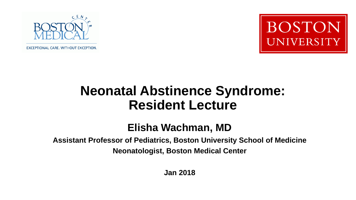

**EXCEPTIONAL CARE. WITHOUT EXCEPTION.** 



#### **Neonatal Abstinence Syndrome: Resident Lecture**

#### **Elisha Wachman, MD**

**Assistant Professor of Pediatrics, Boston University School of Medicine Neonatologist, Boston Medical Center**

**Jan 2018**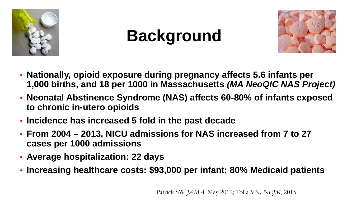

# **Background**



- **Nationally, opioid exposure during pregnancy affects 5.6 infants per 1,000 births, and 18 per 1000 in Massachusetts** *(MA NeoQIC NAS Project)*
- **Neonatal Abstinence Syndrome (NAS) affects 60-80% of infants exposed to chronic in-utero opioids**
- **Incidence has increased 5 fold in the past decade**
- **From 2004 – 2013, NICU admissions for NAS increased from 7 to 27 cases per 1000 admissions**
- **Average hospitalization: 22 days**
- **Increasing healthcare costs: \$93,000 per infant; 80% Medicaid patients**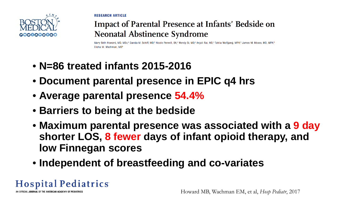0000000000

**RESEARCH ARTICLE** 

#### **Impact of Parental Presence at Infants' Bedside on Neonatal Abstinence Syndrome**

Mary Beth Howard, MD, MSc,<sup>a</sup> Davida M. Schiff, MD,<sup>b</sup> Nicole Penwill, BA,<sup>c</sup> Wendy Si, MD,<sup>c</sup> Anjali Rai, MD,<sup>c</sup> Tahlia Wolfgang, MPH,<sup>d</sup> James M. Moses, MD, MPH,<sup>b</sup> Elisha M. Wachman. MD<sup>t</sup>

- **N=86 treated infants 2015-2016**
- **Document parental presence in EPIC q4 hrs**
- **Average parental presence 54.4%**
- **Barriers to being at the bedside**
- **Maximum parental presence was associated with a 9 day shorter LOS, 8 fewer days of infant opioid therapy, and low Finnegan scores**
- **Independent of breastfeeding and co-variates**

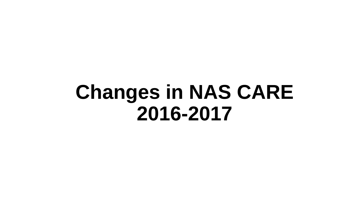# **Changes in NAS CARE 2016-2017**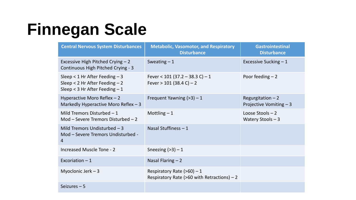## **Finnegan Scale**

| <b>Central Nervous System Disturbances</b>                                                                | <b>Metabolic, Vasomotor, and Respiratory</b><br><b>Disturbance</b>               | <b>Gastrointestinal</b><br><b>Disturbance</b>  |
|-----------------------------------------------------------------------------------------------------------|----------------------------------------------------------------------------------|------------------------------------------------|
| Excessive High Pitched Crying - 2<br>Continuous High Pitched Crying - 3                                   | Sweating $-1$                                                                    | Excessive Sucking $-1$                         |
| Sleep < $1$ Hr After Feeding $-3$<br>Sleep < $2$ Hr After Feeding $-2$<br>Sleep < 3 Hr After Feeding $-1$ | Fever < 101 (37.2 - 38.3 C) - 1<br>Fever $> 101$ (38.4 C) – 2                    | Poor feeding $-2$                              |
| Hyperactive Moro Reflex $-2$<br>Markedly Hyperactive Moro Reflex $-3$                                     | Frequent Yawning $(>3) - 1$                                                      | Regurgitation $-2$<br>Projective Vomiting $-3$ |
| Mild Tremors Disturbed $-1$<br>Mod – Severe Tremors Disturbed – 2                                         | Mottling $-1$                                                                    | Loose Stools $-2$<br>Watery Stools $-3$        |
| Mild Tremors Undisturbed $-3$<br>Mod - Severe Tremors Undisturbed -<br>$\overline{4}$                     | Nasal Stuffiness $-1$                                                            |                                                |
| Increased Muscle Tone - 2                                                                                 | Sneezing $(>3) - 1$                                                              |                                                |
| Excoriation $-1$                                                                                          | Nasal Flaring $-2$                                                               |                                                |
| Myoclonic Jerk $-3$                                                                                       | Respiratory Rate ( $>60$ ) - 1<br>Respiratory Rate ( $>60$ with Retractions) – 2 |                                                |
| Seizures $-5$                                                                                             |                                                                                  |                                                |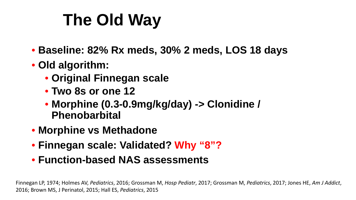# **The Old Way**

- **Baseline: 82% Rx meds, 30% 2 meds, LOS 18 days**
- **Old algorithm:** 
	- **Original Finnegan scale**
	- **Two 8s or one 12**
	- **Morphine (0.3-0.9mg/kg/day) -> Clonidine / Phenobarbital**
- **Morphine vs Methadone**
- **Finnegan scale: Validated? Why "8"?**
- **Function-based NAS assessments**

Finnegan LP, 1974; Holmes AV, *Pediatrics*, 2016; Grossman M, *Hosp Pediatr*, 2017; Grossman M, *Pediatrics*, 2017; Jones HE, *Am J Addict*, 2016; Brown MS, J Perinatol, 2015; Hall ES, *Pediatrics*, 2015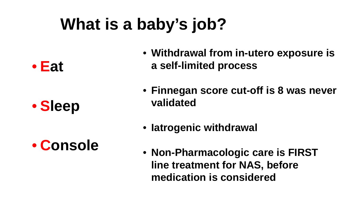# **What is a baby's job?**

• **Eat**

• **Sleep** 

• **Console** 

- **Withdrawal from in-utero exposure is a self-limited process**
- **Finnegan score cut-off is 8 was never validated**
- **Iatrogenic withdrawal**
- **Non-Pharmacologic care is FIRST line treatment for NAS, before medication is considered**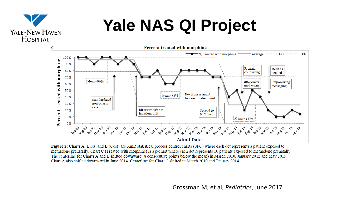## **Yale NAS QI Project**

YALE-NEW HAVEN HOSPITAL



Figure 2: Charts A (LOS) and B (Cost) are XmR statistical process control charts (SPC) where each dot represents a patient exposed to methadone prenatally. Chart C (Treated with morphine) is a p-chart where each dot represents 10 patients exposed to methadone prenatally. The centerline for Charts A and B shifted downward (8 consecutive points below the mean) in March 2010, January 2012 and May 2015. Chart A also shifted downward in June 2014. Centerline for Chart C shifted in March 2010 and January 2014.

Grossman M, et al, Grossman M, et al, *Pediatrics Pediatrics*, June 2017 , 2017, *in press*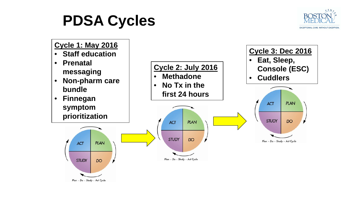### **PDSA Cycles**



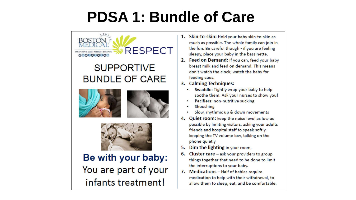## **PDSA 1: Bundle of Care**



#### Be with your baby: You are part of your infants treatment!

- 1. Skin-to-skin: Hold your baby skin-to-skin as much as possible. The whole family can join in the fun. Be careful though - if you are feeling sleepy, place your baby in the bassinette.
- 2. Feed on Demand: If you can, feed your baby breast milk and feed on demand. This means don't watch the clock; watch the baby for feeding cues.
- 3. Calming Techniques:
	- Swaddle: Tightly wrap your baby to help  $\bullet$ soothe them. Ask your nurses to show you!
	- Pacifiers: non-nutritive sucking
	- Shooshing
	- Slow, rhythmic up & down movements
- 4. Quiet room: keep the noise level as low as possible by limiting visitors, asking your adults friends and hospital staff to speak softly. keeping the TV volume low, talking on the phone quietly
- Dim the lighting in your room. 5.
- 6. Cluster care ask your providers to group things together that need to be done to limit the interruptions to your baby.
- 7. Medications Half of babies require medication to help with their withdrawal, to allow them to sleep, eat, and be comfortable.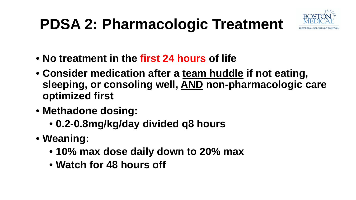## **PDSA 2: Pharmacologic Treatment**



- **No treatment in the first 24 hours of life**
- **Consider medication after a team huddle if not eating, sleeping, or consoling well, AND non-pharmacologic care optimized first**
- **Methadone dosing:** 
	- **0.2-0.8mg/kg/day divided q8 hours**
- **Weaning:** 
	- **10% max dose daily down to 20% max**
	- **Watch for 48 hours off**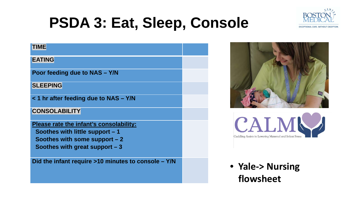

## **PSDA 3: Eat, Sleep, Console**

#### **TIME EATING Poor feeding due to NAS – Y/N SLEEPING < 1 hr after feeding due to NAS – Y/N CONSOLABILITY Please rate the infant's consolability: Soothes with little support – 1 Soothes with some support – 2 Soothes with great support – 3 Did the infant require >10 minutes to console – Y/N**





• **Yale-> Nursing flowsheet**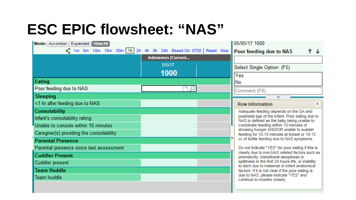## **ESC EPIC flowsheet: "NAS"**

| Mode: Accordion Expanded View All                            |                           |  | 05/05/17 1000                                                                                                                                                                   |  |  |
|--------------------------------------------------------------|---------------------------|--|---------------------------------------------------------------------------------------------------------------------------------------------------------------------------------|--|--|
| o 1m 5m 10m 15m 30m 1h 2h 4h 8h 24h Based On: 0700 Reset Now |                           |  | Poor feeding due to NAS                                                                                                                                                         |  |  |
|                                                              | <b>Admission (Current</b> |  |                                                                                                                                                                                 |  |  |
|                                                              | 5/5/17                    |  | Select Single Option: (F5)                                                                                                                                                      |  |  |
|                                                              | 1000                      |  | Yes                                                                                                                                                                             |  |  |
| Eating                                                       |                           |  | No                                                                                                                                                                              |  |  |
| Poor feeding due to NAS                                      |                           |  | Comment (F6)                                                                                                                                                                    |  |  |
| Sleeping                                                     |                           |  |                                                                                                                                                                                 |  |  |
| <1 hr after feeding due to NAS                               |                           |  | 会<br><b>Row Information</b>                                                                                                                                                     |  |  |
| Consolability                                                |                           |  | Adequate feeding depends on the GA and                                                                                                                                          |  |  |
| Infant's consolability rating                                |                           |  | postnatal age of the infant. Poor eating due to<br>NAS is defined as the baby being unable to                                                                                   |  |  |
| Unable to console within 10 minutes                          |                           |  | coordinate feeding within 10 minutes of<br>showing hunger AND/OR unable to sustain<br>feeding for 10-15 minutes at breast or 10-15<br>cc of bottle feeding due to NAS symptoms. |  |  |
| Caregiver(s) providing the consolability                     |                           |  |                                                                                                                                                                                 |  |  |
| <b>Parental Presence</b>                                     |                           |  |                                                                                                                                                                                 |  |  |
| Parental presence since last assessment                      |                           |  | Do not indicate "YES" for poor eating if this is                                                                                                                                |  |  |
| <b>Cuddler Present</b>                                       |                           |  | clearly due to non-NAS related factors such as<br>prematurity, transitional sleepiness or                                                                                       |  |  |
| <b>Cuddler present</b>                                       |                           |  | spittiness in the first 24 hours life, or inability<br>to latch due to maternal or infant anatomical                                                                            |  |  |
| <b>Team Huddle</b>                                           |                           |  | factors. If it is not clear if the poor eating is                                                                                                                               |  |  |
| Team huddle                                                  |                           |  | due to NAS, please indicate "YES" and<br>continue to monitor closely.                                                                                                           |  |  |
|                                                              |                           |  |                                                                                                                                                                                 |  |  |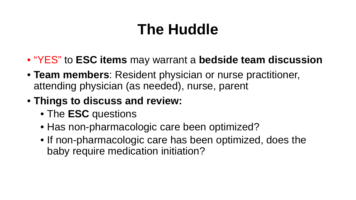### **The Huddle**

- "YES" to **ESC items** may warrant a **bedside team discussion**
- **Team members**: Resident physician or nurse practitioner, attending physician (as needed), nurse, parent
- **Things to discuss and review:** 
	- The **ESC** questions
	- Has non-pharmacologic care been optimized?
	- If non-pharmacologic care has been optimized, does the baby require medication initiation?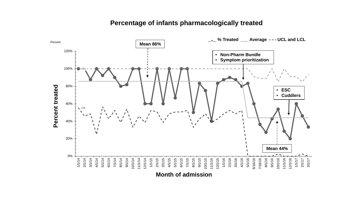#### **Percentage of infants pharmacologically treated**



**Month of admission**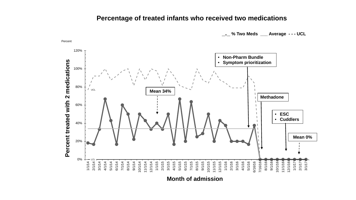#### **Percentage of treated infants who received two medications**

**\_.\_ % Two Meds \_\_\_ Average - - - UCL** 



Percent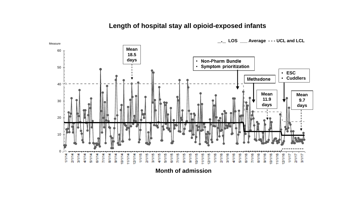#### **Length of hospital stay all opioid-exposed infants**



**Month of admission**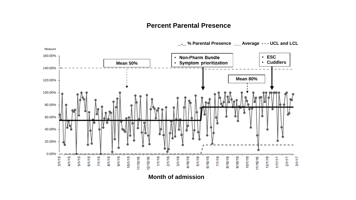#### **Percent Parental Presence**



**\_.\_ % Parental Presence \_\_\_ Average - - - UCL and LCL** 

**Month of admission**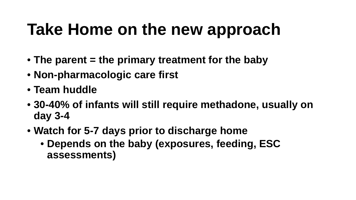## **Take Home on the new approach**

- **The parent = the primary treatment for the baby**
- **Non-pharmacologic care first**
- **Team huddle**
- **30-40% of infants will still require methadone, usually on day 3-4**
- **Watch for 5-7 days prior to discharge home** 
	- **Depends on the baby (exposures, feeding, ESC assessments)**